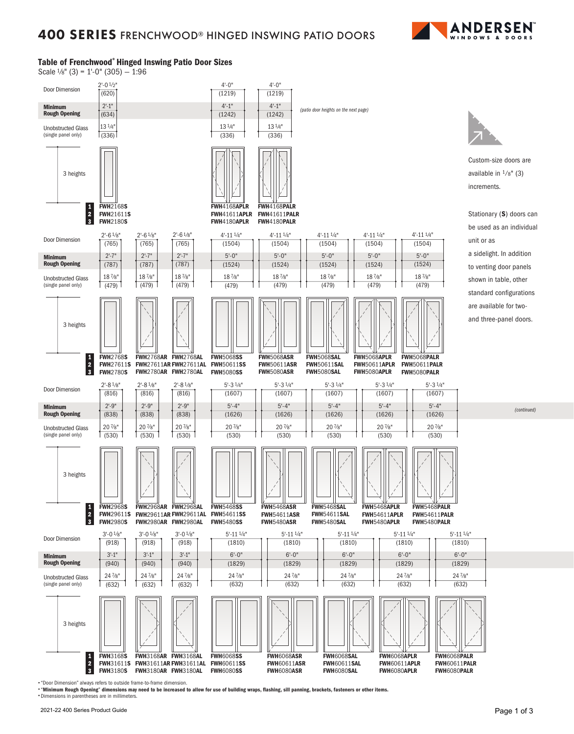

### Table of Frenchwood® Hinged Inswing Patio Door Sizes

Scale  $\frac{1}{8}$ " (3) = 1'-0" (305) - 1:96



• "Door Dimension" always refers to outside frame-to-frame dimension.

• "Minimum Rough Opening" dimensions may need to be increased to allow for use of building wraps, flashing, sill panning, brackets, fasteners or other items. • Dimensions in parentheses are in millimeters.

*(continued)*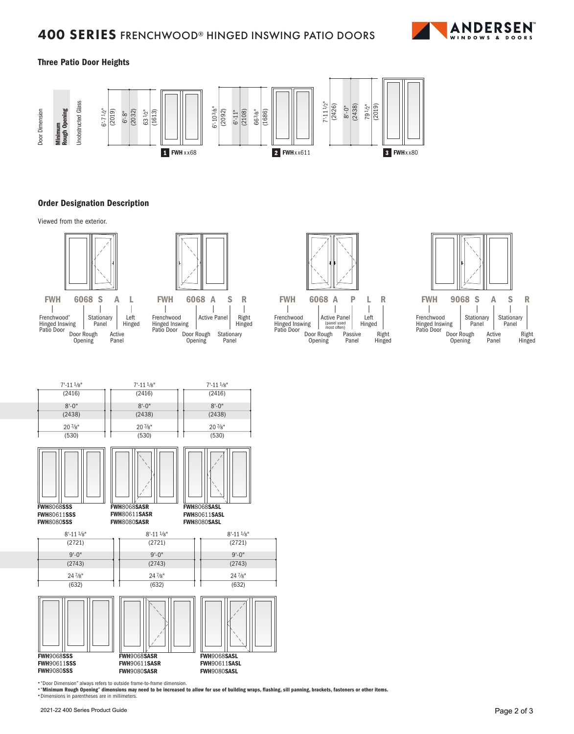# **400 SERIES** FRENCHWOOD® HINGED INSWING PATIO DOORS



### Three Patio Door Heights



#### Order Designation Description

Viewed from the exterior.





ı ı Frenchwood Active Panel Right Hinged Inswing Patio Door Hinged Door Rough Opening Stationary Panel



Door Rough Opening Active Panel (panel used most often) Passive Panel Left Hinged Right Hinged FWH Frenchwood Hinged Inswing Patio Door





• "Minimum Rough Opening" dimensions may need to be increased to allow for use of building wraps, flashing, sill panning, brackets, fasteners or other items.

• Dimensions in parentheses are in millimeters.